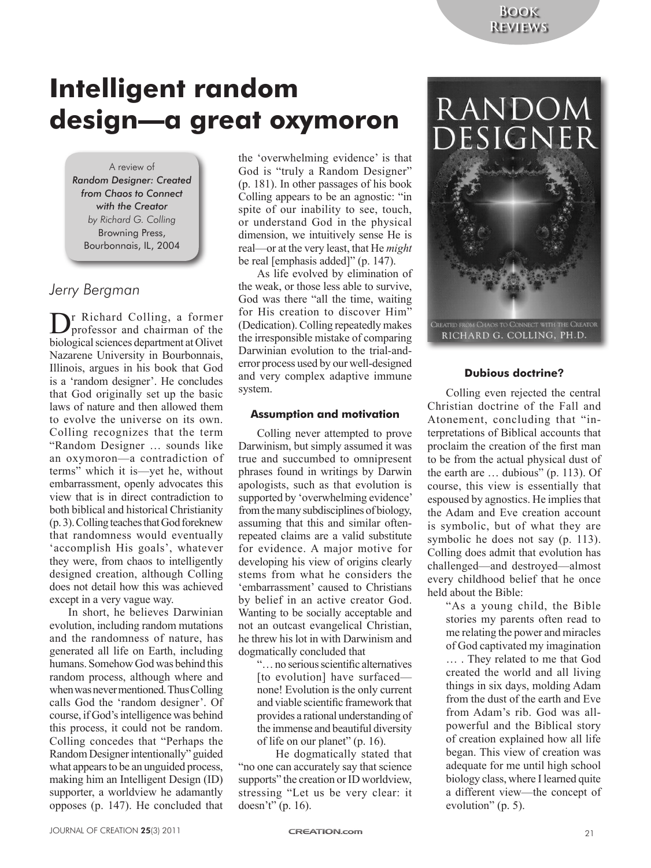## **Intelligent random design—a great oxymoron**

#### A review of

*Random Designer: Created from Chaos to Connect with the Creator by Richard G. Colling* Browning Press, Bourbonnais, IL, 2004

## *Jerry Bergman*

Dr Richard Colling, a former professor and chairman of the biological sciences department at Olivet Nazarene University in Bourbonnais, Illinois, argues in his book that God is a 'random designer'. He concludes that God originally set up the basic laws of nature and then allowed them to evolve the universe on its own. Colling recognizes that the term "Random Designer … sounds like an oxymoron—a contradiction of terms" which it is—yet he, without embarrassment, openly advocates this view that is in direct contradiction to both biblical and historical Christianity (p. 3). Colling teaches that God foreknew that randomness would eventually 'accomplish His goals', whatever they were, from chaos to intelligently designed creation, although Colling does not detail how this was achieved except in a very vague way.

In short, he believes Darwinian evolution, including random mutations and the randomness of nature, has generated all life on Earth, including humans. Somehow God was behind this random process, although where and when was never mentioned. Thus Colling calls God the 'random designer'. Of course, if God's intelligence was behind this process, it could not be random. Colling concedes that "Perhaps the Random Designer intentionally" guided what appears to be an unguided process, making him an Intelligent Design (ID) supporter, a worldview he adamantly opposes (p. 147). He concluded that

the 'overwhelming evidence' is that God is "truly a Random Designer" (p. 181). In other passages of his book Colling appears to be an agnostic: "in spite of our inability to see, touch, or understand God in the physical dimension, we intuitively sense He is real—or at the very least, that He *might* be real [emphasis added]" (p. 147).

As life evolved by elimination of the weak, or those less able to survive, God was there "all the time, waiting for His creation to discover Him" (Dedication). Colling repeatedly makes the irresponsible mistake of comparing Darwinian evolution to the trial-anderror process used by our well-designed and very complex adaptive immune system.

### **Assumption and motivation**

Colling never attempted to prove Darwinism, but simply assumed it was true and succumbed to omnipresent phrases found in writings by Darwin apologists, such as that evolution is supported by 'overwhelming evidence' from the many subdisciplines of biology, assuming that this and similar oftenrepeated claims are a valid substitute for evidence. A major motive for developing his view of origins clearly stems from what he considers the 'embarrassment' caused to Christians by belief in an active creator God. Wanting to be socially acceptable and not an outcast evangelical Christian, he threw his lot in with Darwinism and dogmatically concluded that

"… no serious scientific alternatives [to evolution] have surfaced none! Evolution is the only current and viable scientific framework that provides a rational understanding of the immense and beautiful diversity of life on our planet" (p. 16).

He dogmatically stated that "no one can accurately say that science supports" the creation or ID worldview, stressing "Let us be very clear: it doesn't" (p. 16).

# **RANDOM** DESIGNER



## **Dubious doctrine?**

Colling even rejected the central Christian doctrine of the Fall and Atonement, concluding that "interpretations of Biblical accounts that proclaim the creation of the first man to be from the actual physical dust of the earth are … dubious" (p. 113). Of course, this view is essentially that espoused by agnostics. He implies that the Adam and Eve creation account is symbolic, but of what they are symbolic he does not say (p. 113). Colling does admit that evolution has challenged—and destroyed—almost every childhood belief that he once held about the Bible:

> "As a young child, the Bible stories my parents often read to me relating the power and miracles of God captivated my imagination … . They related to me that God created the world and all living things in six days, molding Adam from the dust of the earth and Eve from Adam's rib. God was allpowerful and the Biblical story of creation explained how all life began. This view of creation was adequate for me until high school biology class, where I learned quite a different view—the concept of evolution" (p. 5).